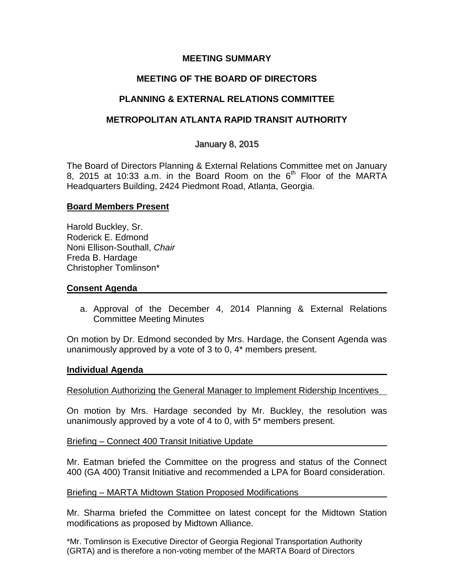### **MEETING SUMMARY**

# **MEETING OF THE BOARD OF DIRECTORS**

## **PLANNING & EXTERNAL RELATIONS COMMITTEE**

## **METROPOLITAN ATLANTA RAPID TRANSIT AUTHORITY**

### January 8, 2015

The Board of Directors Planning & External Relations Committee met on January 8, 2015 at 10:33 a.m. in the Board Room on the  $6<sup>th</sup>$  Floor of the MARTA Headquarters Building, 2424 Piedmont Road, Atlanta, Georgia.

### **Board Members Present**

Harold Buckley, Sr. Roderick E. Edmond Noni Ellison-Southall, *Chair*  Freda B. Hardage Christopher Tomlinson\*

#### **Consent Agenda**

a. Approval of the December 4, 2014 Planning & External Relations Committee Meeting Minutes

On motion by Dr. Edmond seconded by Mrs. Hardage, the Consent Agenda was unanimously approved by a vote of 3 to 0, 4\* members present.

#### **Individual Agenda**

#### Resolution Authorizing the General Manager to Implement Ridership Incentives

On motion by Mrs. Hardage seconded by Mr. Buckley, the resolution was unanimously approved by a vote of 4 to 0, with 5\* members present.

Briefing – Connect 400 Transit Initiative Update

Mr. Eatman briefed the Committee on the progress and status of the Connect 400 (GA 400) Transit Initiative and recommended a LPA for Board consideration.

#### Briefing – MARTA Midtown Station Proposed Modifications

Mr. Sharma briefed the Committee on latest concept for the Midtown Station modifications as proposed by Midtown Alliance.

\*Mr. Tomlinson is Executive Director of Georgia Regional Transportation Authority (GRTA) and is therefore a non-voting member of the MARTA Board of Directors